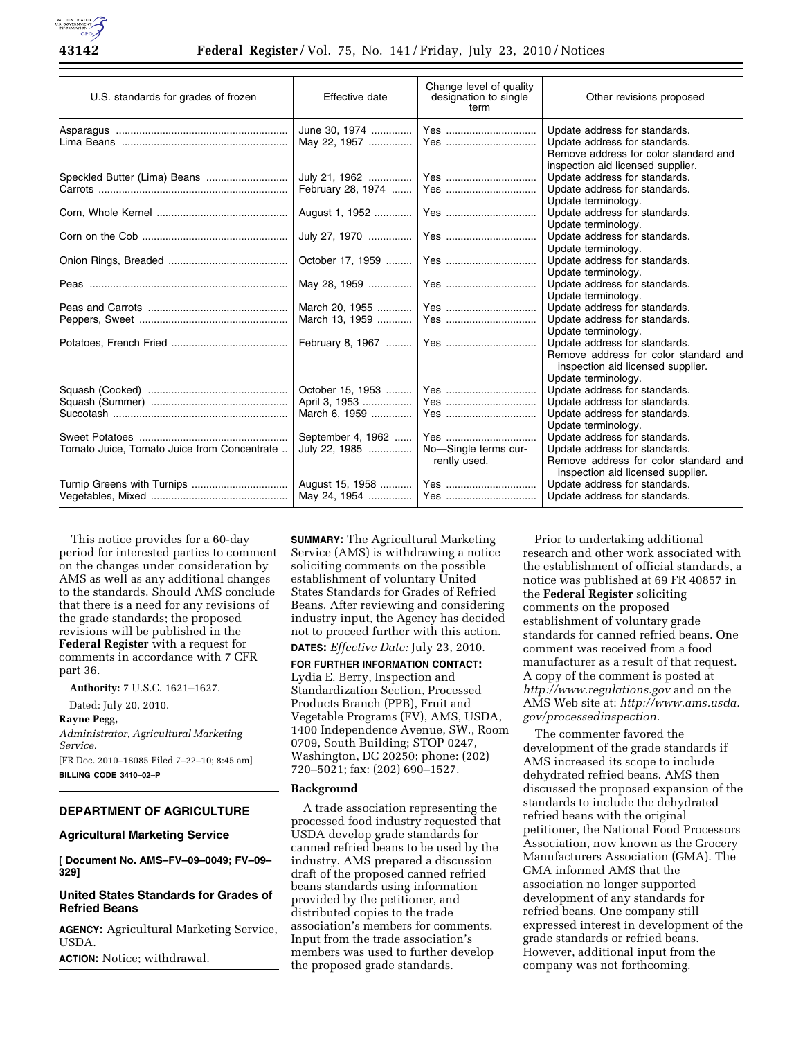| U.S. standards for grades of frozen         | Effective date    | Change level of quality<br>designation to single<br>term | Other revisions proposed                                                                                                                     |
|---------------------------------------------|-------------------|----------------------------------------------------------|----------------------------------------------------------------------------------------------------------------------------------------------|
|                                             |                   |                                                          | Update address for standards.<br>Update address for standards.<br>Remove address for color standard and<br>inspection aid licensed supplier. |
|                                             |                   |                                                          | Update address for standards.<br>Update address for standards.<br>Update terminology.                                                        |
|                                             |                   |                                                          | Update address for standards.<br>Update terminology.                                                                                         |
|                                             |                   |                                                          | Update address for standards.<br>Update terminology.                                                                                         |
|                                             |                   |                                                          | Update address for standards.<br>Update terminology.                                                                                         |
|                                             |                   |                                                          | Update address for standards.<br>Update terminology.                                                                                         |
|                                             |                   |                                                          | Update address for standards.<br>Update address for standards.<br>Update terminology.                                                        |
|                                             |                   |                                                          | Update address for standards.<br>Remove address for color standard and<br>inspection aid licensed supplier.<br>Update terminology.           |
|                                             | October 15, 1953  | Yes                                                      | Update address for standards.                                                                                                                |
|                                             | April 3, 1953     | Yes                                                      | Update address for standards.                                                                                                                |
|                                             | March 6, 1959     | Yes                                                      | Update address for standards.                                                                                                                |
|                                             | September 4, 1962 | Yes                                                      | Update terminology.<br>Update address for standards.                                                                                         |
| Tomato Juice, Tomato Juice from Concentrate | July 22, 1985     | No-Single terms cur-                                     | Update address for standards.<br>Remove address for color standard and                                                                       |
|                                             |                   | rently used.                                             | inspection aid licensed supplier.                                                                                                            |
|                                             |                   |                                                          | Update address for standards.<br>Update address for standards.                                                                               |

This notice provides for a 60-day period for interested parties to comment on the changes under consideration by AMS as well as any additional changes to the standards. Should AMS conclude that there is a need for any revisions of the grade standards; the proposed revisions will be published in the **Federal Register** with a request for comments in accordance with 7 CFR part 36.

**Authority:** 7 U.S.C. 1621–1627.

Dated: July 20, 2010.

# **Rayne Pegg,**

*Administrator, Agricultural Marketing Service.* 

[FR Doc. 2010–18085 Filed 7–22–10; 8:45 am] **BILLING CODE 3410–02–P** 

# **DEPARTMENT OF AGRICULTURE**

#### **Agricultural Marketing Service**

**[ Document No. AMS–FV–09–0049; FV–09– 329]** 

# **United States Standards for Grades of Refried Beans**

**AGENCY:** Agricultural Marketing Service, USDA.

**ACTION:** Notice; withdrawal.

**SUMMARY:** The Agricultural Marketing Service (AMS) is withdrawing a notice soliciting comments on the possible establishment of voluntary United States Standards for Grades of Refried Beans. After reviewing and considering industry input, the Agency has decided not to proceed further with this action. **DATES:** *Effective Date:* July 23, 2010.

**FOR FURTHER INFORMATION CONTACT:**  Lydia E. Berry, Inspection and Standardization Section, Processed Products Branch (PPB), Fruit and Vegetable Programs (FV), AMS, USDA, 1400 Independence Avenue, SW., Room 0709, South Building; STOP 0247, Washington, DC 20250; phone: (202) 720–5021; fax: (202) 690–1527.

#### **Background**

A trade association representing the processed food industry requested that USDA develop grade standards for canned refried beans to be used by the industry. AMS prepared a discussion draft of the proposed canned refried beans standards using information provided by the petitioner, and distributed copies to the trade association's members for comments. Input from the trade association's members was used to further develop the proposed grade standards.

Prior to undertaking additional research and other work associated with the establishment of official standards, a notice was published at 69 FR 40857 in the **Federal Register** soliciting comments on the proposed establishment of voluntary grade standards for canned refried beans. One comment was received from a food manufacturer as a result of that request. A copy of the comment is posted at *<http://www.regulations.gov>* and on the AMS Web site at: *[http://www.ams.usda.](http://www.ams.usda.gov/processedinspection) [gov/processedinspection.](http://www.ams.usda.gov/processedinspection)* 

The commenter favored the development of the grade standards if AMS increased its scope to include dehydrated refried beans. AMS then discussed the proposed expansion of the standards to include the dehydrated refried beans with the original petitioner, the National Food Processors Association, now known as the Grocery Manufacturers Association (GMA). The GMA informed AMS that the association no longer supported development of any standards for refried beans. One company still expressed interest in development of the grade standards or refried beans. However, additional input from the company was not forthcoming.